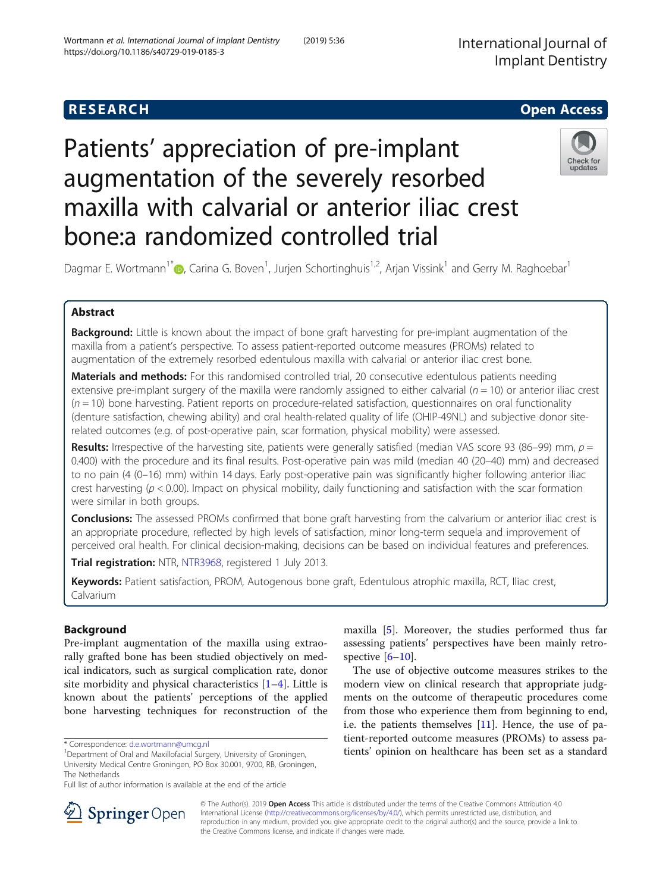## **RESEARCH CHE Open Access**

# Patients' appreciation of pre-implant augmentation of the severely resorbed maxilla with calvarial or anterior iliac crest bone:a randomized controlled trial



Dagmar E. Wortmann<sup>1\*</sup> (@[,](http://orcid.org/0000-0002-9625-7614) Carina G. Boven<sup>1</sup>, Jurjen Schortinghuis<sup>1,2</sup>, Arjan Vissink<sup>1</sup> and Gerry M. Raghoebar<sup>1</sup>

## Abstract

Background: Little is known about the impact of bone graft harvesting for pre-implant augmentation of the maxilla from a patient's perspective. To assess patient-reported outcome measures (PROMs) related to augmentation of the extremely resorbed edentulous maxilla with calvarial or anterior iliac crest bone.

Materials and methods: For this randomised controlled trial, 20 consecutive edentulous patients needing extensive pre-implant surgery of the maxilla were randomly assigned to either calvarial ( $n = 10$ ) or anterior iliac crest  $(n = 10)$  bone harvesting. Patient reports on procedure-related satisfaction, questionnaires on oral functionality (denture satisfaction, chewing ability) and oral health-related quality of life (OHIP-49NL) and subjective donor siterelated outcomes (e.g. of post-operative pain, scar formation, physical mobility) were assessed.

Results: Irrespective of the harvesting site, patients were generally satisfied (median VAS score 93 (86–99) mm,  $p =$ 0.400) with the procedure and its final results. Post-operative pain was mild (median 40 (20–40) mm) and decreased to no pain (4 (0–16) mm) within 14 days. Early post-operative pain was significantly higher following anterior iliac crest harvesting ( $p < 0.00$ ). Impact on physical mobility, daily functioning and satisfaction with the scar formation were similar in both groups.

**Conclusions:** The assessed PROMs confirmed that bone graft harvesting from the calvarium or anterior iliac crest is an appropriate procedure, reflected by high levels of satisfaction, minor long-term sequela and improvement of perceived oral health. For clinical decision-making, decisions can be based on individual features and preferences.

Trial registration: NTR, [NTR3968](https://www.trialregister.nl/trial/3795), registered 1 July 2013.

Keywords: Patient satisfaction, PROM, Autogenous bone graft, Edentulous atrophic maxilla, RCT, Iliac crest, Calvarium

## Background

Pre-implant augmentation of the maxilla using extraorally grafted bone has been studied objectively on medical indicators, such as surgical complication rate, donor site morbidity and physical characteristics [\[1](#page-7-0)–[4](#page-8-0)]. Little is known about the patients' perceptions of the applied bone harvesting techniques for reconstruction of the

maxilla [[5](#page-8-0)]. Moreover, the studies performed thus far assessing patients' perspectives have been mainly retrospective  $[6-10]$  $[6-10]$  $[6-10]$ .

The use of objective outcome measures strikes to the modern view on clinical research that appropriate judgments on the outcome of therapeutic procedures come from those who experience them from beginning to end, i.e. the patients themselves [[11\]](#page-8-0). Hence, the use of patient-reported outcome measures (PROMs) to assess patients' opinion on healthcare has been set as a standard



© The Author(s). 2019 Open Access This article is distributed under the terms of the Creative Commons Attribution 4.0 International License ([http://creativecommons.org/licenses/by/4.0/\)](http://creativecommons.org/licenses/by/4.0/), which permits unrestricted use, distribution, and reproduction in any medium, provided you give appropriate credit to the original author(s) and the source, provide a link to the Creative Commons license, and indicate if changes were made.

<sup>\*</sup> Correspondence: [d.e.wortmann@umcg.nl](mailto:d.e.wortmann@umcg.nl) <sup>1</sup>

<sup>&</sup>lt;sup>1</sup>Department of Oral and Maxillofacial Surgery, University of Groningen, University Medical Centre Groningen, PO Box 30.001, 9700, RB, Groningen, The Netherlands

Full list of author information is available at the end of the article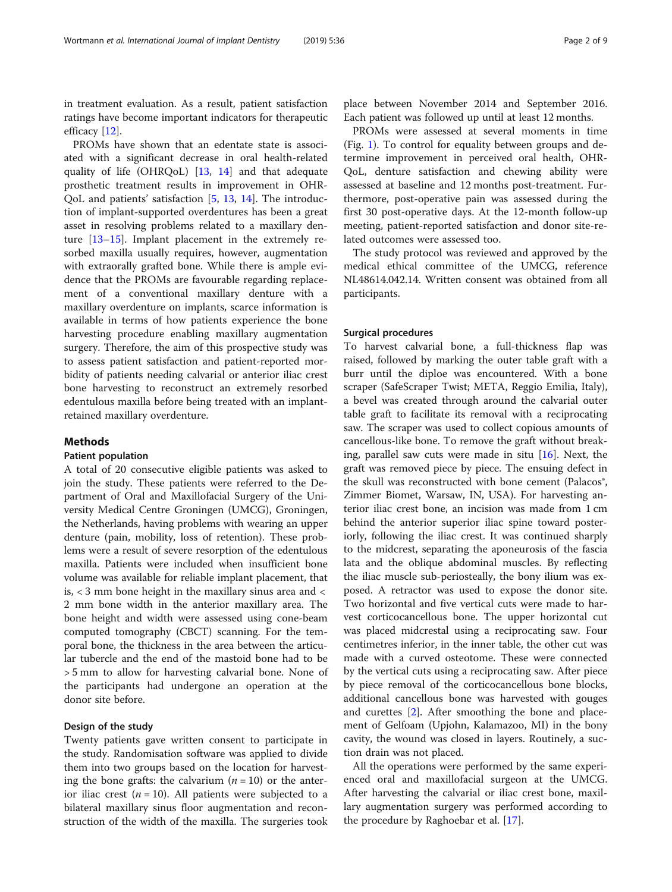in treatment evaluation. As a result, patient satisfaction ratings have become important indicators for therapeutic efficacy [\[12\]](#page-8-0).

PROMs have shown that an edentate state is associated with a significant decrease in oral health-related quality of life (OHRQoL) [[13,](#page-8-0) [14](#page-8-0)] and that adequate prosthetic treatment results in improvement in OHR-QoL and patients' satisfaction [\[5](#page-8-0), [13,](#page-8-0) [14](#page-8-0)]. The introduction of implant-supported overdentures has been a great asset in resolving problems related to a maxillary denture [[13](#page-8-0)–[15](#page-8-0)]. Implant placement in the extremely resorbed maxilla usually requires, however, augmentation with extraorally grafted bone. While there is ample evidence that the PROMs are favourable regarding replacement of a conventional maxillary denture with a maxillary overdenture on implants, scarce information is available in terms of how patients experience the bone harvesting procedure enabling maxillary augmentation surgery. Therefore, the aim of this prospective study was to assess patient satisfaction and patient-reported morbidity of patients needing calvarial or anterior iliac crest bone harvesting to reconstruct an extremely resorbed edentulous maxilla before being treated with an implantretained maxillary overdenture.

#### Methods

#### Patient population

A total of 20 consecutive eligible patients was asked to join the study. These patients were referred to the Department of Oral and Maxillofacial Surgery of the University Medical Centre Groningen (UMCG), Groningen, the Netherlands, having problems with wearing an upper denture (pain, mobility, loss of retention). These problems were a result of severe resorption of the edentulous maxilla. Patients were included when insufficient bone volume was available for reliable implant placement, that is, < 3 mm bone height in the maxillary sinus area and < 2 mm bone width in the anterior maxillary area. The bone height and width were assessed using cone-beam computed tomography (CBCT) scanning. For the temporal bone, the thickness in the area between the articular tubercle and the end of the mastoid bone had to be > 5 mm to allow for harvesting calvarial bone. None of the participants had undergone an operation at the donor site before.

### Design of the study

Twenty patients gave written consent to participate in the study. Randomisation software was applied to divide them into two groups based on the location for harvesting the bone grafts: the calvarium  $(n = 10)$  or the anterior iliac crest ( $n = 10$ ). All patients were subjected to a bilateral maxillary sinus floor augmentation and reconstruction of the width of the maxilla. The surgeries took

place between November 2014 and September 2016. Each patient was followed up until at least 12 months.

PROMs were assessed at several moments in time (Fig. [1\)](#page-2-0). To control for equality between groups and determine improvement in perceived oral health, OHR-QoL, denture satisfaction and chewing ability were assessed at baseline and 12 months post-treatment. Furthermore, post-operative pain was assessed during the first 30 post-operative days. At the 12-month follow-up meeting, patient-reported satisfaction and donor site-related outcomes were assessed too.

The study protocol was reviewed and approved by the medical ethical committee of the UMCG, reference NL48614.042.14. Written consent was obtained from all participants.

#### Surgical procedures

To harvest calvarial bone, a full-thickness flap was raised, followed by marking the outer table graft with a burr until the diploe was encountered. With a bone scraper (SafeScraper Twist; META, Reggio Emilia, Italy), a bevel was created through around the calvarial outer table graft to facilitate its removal with a reciprocating saw. The scraper was used to collect copious amounts of cancellous-like bone. To remove the graft without breaking, parallel saw cuts were made in situ  $[16]$  $[16]$  $[16]$ . Next, the graft was removed piece by piece. The ensuing defect in the skull was reconstructed with bone cement (Palacos<sup>®</sup>, Zimmer Biomet, Warsaw, IN, USA). For harvesting anterior iliac crest bone, an incision was made from 1 cm behind the anterior superior iliac spine toward posteriorly, following the iliac crest. It was continued sharply to the midcrest, separating the aponeurosis of the fascia lata and the oblique abdominal muscles. By reflecting the iliac muscle sub-periosteally, the bony ilium was exposed. A retractor was used to expose the donor site. Two horizontal and five vertical cuts were made to harvest corticocancellous bone. The upper horizontal cut was placed midcrestal using a reciprocating saw. Four centimetres inferior, in the inner table, the other cut was made with a curved osteotome. These were connected by the vertical cuts using a reciprocating saw. After piece by piece removal of the corticocancellous bone blocks, additional cancellous bone was harvested with gouges and curettes [\[2](#page-7-0)]. After smoothing the bone and placement of Gelfoam (Upjohn, Kalamazoo, MI) in the bony cavity, the wound was closed in layers. Routinely, a suction drain was not placed.

All the operations were performed by the same experienced oral and maxillofacial surgeon at the UMCG. After harvesting the calvarial or iliac crest bone, maxillary augmentation surgery was performed according to the procedure by Raghoebar et al. [\[17\]](#page-8-0).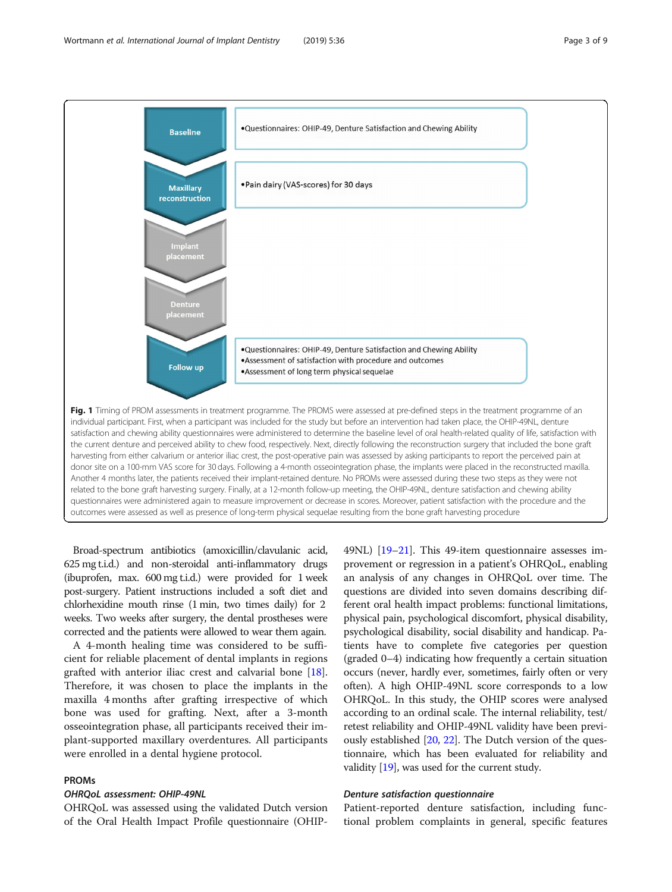<span id="page-2-0"></span>

Broad-spectrum antibiotics (amoxicillin/clavulanic acid, 625 mg t.i.d.) and non-steroidal anti-inflammatory drugs (ibuprofen, max. 600 mg t.i.d.) were provided for 1 week post-surgery. Patient instructions included a soft diet and chlorhexidine mouth rinse (1 min, two times daily) for 2 weeks. Two weeks after surgery, the dental prostheses were corrected and the patients were allowed to wear them again.

A 4-month healing time was considered to be sufficient for reliable placement of dental implants in regions grafted with anterior iliac crest and calvarial bone [\[18](#page-8-0)]. Therefore, it was chosen to place the implants in the maxilla 4 months after grafting irrespective of which bone was used for grafting. Next, after a 3-month osseointegration phase, all participants received their implant-supported maxillary overdentures. All participants were enrolled in a dental hygiene protocol.

#### PROMs

## OHRQoL assessment: OHIP-49NL

OHRQoL was assessed using the validated Dutch version of the Oral Health Impact Profile questionnaire (OHIP-

49NL) [[19](#page-8-0)–[21\]](#page-8-0). This 49-item questionnaire assesses improvement or regression in a patient's OHRQoL, enabling an analysis of any changes in OHRQoL over time. The questions are divided into seven domains describing different oral health impact problems: functional limitations, physical pain, psychological discomfort, physical disability, psychological disability, social disability and handicap. Patients have to complete five categories per question (graded 0–4) indicating how frequently a certain situation occurs (never, hardly ever, sometimes, fairly often or very often). A high OHIP-49NL score corresponds to a low OHRQoL. In this study, the OHIP scores were analysed according to an ordinal scale. The internal reliability, test/ retest reliability and OHIP-49NL validity have been previously established [\[20](#page-8-0), [22\]](#page-8-0). The Dutch version of the questionnaire, which has been evaluated for reliability and validity [\[19\]](#page-8-0), was used for the current study.

#### Denture satisfaction questionnaire

Patient-reported denture satisfaction, including functional problem complaints in general, specific features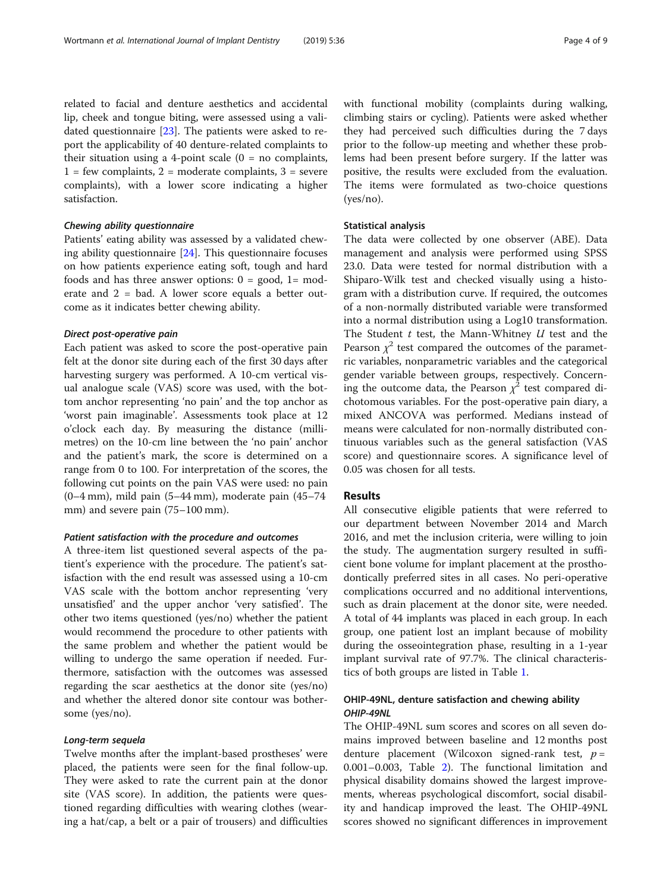related to facial and denture aesthetics and accidental lip, cheek and tongue biting, were assessed using a validated questionnaire [[23](#page-8-0)]. The patients were asked to report the applicability of 40 denture-related complaints to their situation using a 4-point scale  $(0 = no$  complaints,  $1 = few$  complaints,  $2 =$  moderate complaints,  $3 =$  severe complaints), with a lower score indicating a higher satisfaction.

## Chewing ability questionnaire

Patients' eating ability was assessed by a validated chewing ability questionnaire [\[24](#page-8-0)]. This questionnaire focuses on how patients experience eating soft, tough and hard foods and has three answer options:  $0 = \text{good}$ ,  $1 = \text{mod}$ erate and 2 = bad. A lower score equals a better outcome as it indicates better chewing ability.

#### Direct post-operative pain

Each patient was asked to score the post-operative pain felt at the donor site during each of the first 30 days after harvesting surgery was performed. A 10-cm vertical visual analogue scale (VAS) score was used, with the bottom anchor representing 'no pain' and the top anchor as 'worst pain imaginable'. Assessments took place at 12 o'clock each day. By measuring the distance (millimetres) on the 10-cm line between the 'no pain' anchor and the patient's mark, the score is determined on a range from 0 to 100. For interpretation of the scores, the following cut points on the pain VAS were used: no pain (0–4 mm), mild pain (5–44 mm), moderate pain (45–74 mm) and severe pain (75–100 mm).

#### Patient satisfaction with the procedure and outcomes

A three-item list questioned several aspects of the patient's experience with the procedure. The patient's satisfaction with the end result was assessed using a 10-cm VAS scale with the bottom anchor representing 'very unsatisfied' and the upper anchor 'very satisfied'. The other two items questioned (yes/no) whether the patient would recommend the procedure to other patients with the same problem and whether the patient would be willing to undergo the same operation if needed. Furthermore, satisfaction with the outcomes was assessed regarding the scar aesthetics at the donor site (yes/no) and whether the altered donor site contour was bothersome (yes/no).

## Long-term sequela

Twelve months after the implant-based prostheses' were placed, the patients were seen for the final follow-up. They were asked to rate the current pain at the donor site (VAS score). In addition, the patients were questioned regarding difficulties with wearing clothes (wearing a hat/cap, a belt or a pair of trousers) and difficulties with functional mobility (complaints during walking, climbing stairs or cycling). Patients were asked whether they had perceived such difficulties during the 7 days prior to the follow-up meeting and whether these problems had been present before surgery. If the latter was positive, the results were excluded from the evaluation. The items were formulated as two-choice questions (yes/no).

## Statistical analysis

The data were collected by one observer (ABE). Data management and analysis were performed using SPSS 23.0. Data were tested for normal distribution with a Shiparo-Wilk test and checked visually using a histogram with a distribution curve. If required, the outcomes of a non-normally distributed variable were transformed into a normal distribution using a Log10 transformation. The Student  $t$  test, the Mann-Whitney  $U$  test and the Pearson  $\chi^2$  test compared the outcomes of the parametric variables, nonparametric variables and the categorical gender variable between groups, respectively. Concerning the outcome data, the Pearson  $\chi^2$  test compared dichotomous variables. For the post-operative pain diary, a mixed ANCOVA was performed. Medians instead of means were calculated for non-normally distributed continuous variables such as the general satisfaction (VAS score) and questionnaire scores. A significance level of 0.05 was chosen for all tests.

#### Results

All consecutive eligible patients that were referred to our department between November 2014 and March 2016, and met the inclusion criteria, were willing to join the study. The augmentation surgery resulted in sufficient bone volume for implant placement at the prosthodontically preferred sites in all cases. No peri-operative complications occurred and no additional interventions, such as drain placement at the donor site, were needed. A total of 44 implants was placed in each group. In each group, one patient lost an implant because of mobility during the osseointegration phase, resulting in a 1-year implant survival rate of 97.7%. The clinical characteristics of both groups are listed in Table [1.](#page-4-0)

## OHIP-49NL, denture satisfaction and chewing ability OHIP-49NL

The OHIP-49NL sum scores and scores on all seven domains improved between baseline and 12 months post denture placement (Wilcoxon signed-rank test,  $p =$ 0.001–0.003, Table [2\)](#page-4-0). The functional limitation and physical disability domains showed the largest improvements, whereas psychological discomfort, social disability and handicap improved the least. The OHIP-49NL scores showed no significant differences in improvement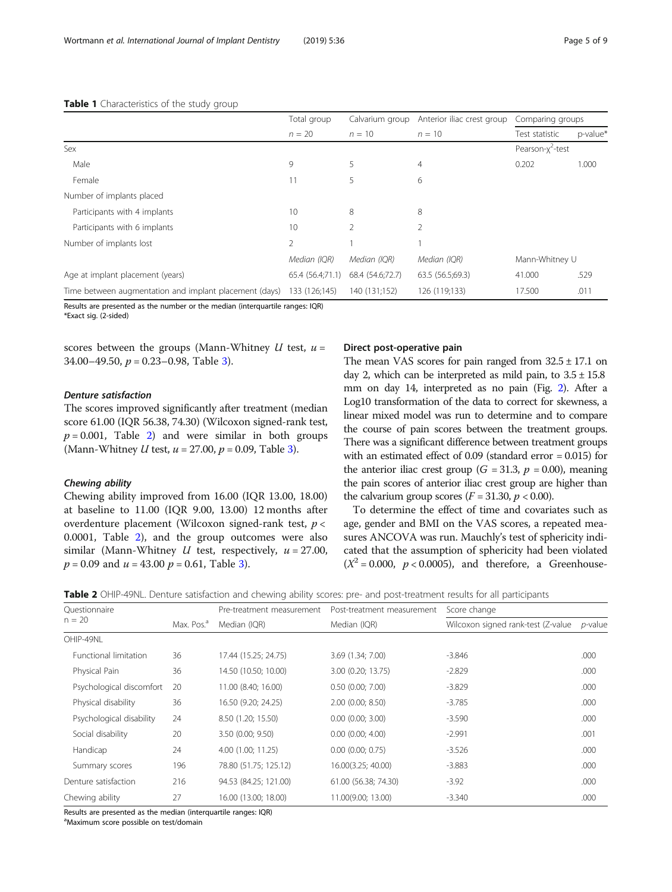|                                                        | Total group      | Calvarium group  | Anterior iliac crest group | Comparing groups             |          |
|--------------------------------------------------------|------------------|------------------|----------------------------|------------------------------|----------|
|                                                        | $n = 20$         | $n = 10$         | $n = 10$                   | Test statistic               | p-value* |
| Sex                                                    |                  |                  |                            | Pearson-x <sup>2</sup> -test |          |
| Male                                                   | 9                | 5                | $\overline{4}$             | 0.202                        | 1.000    |
| Female                                                 |                  | 5                | 6                          |                              |          |
| Number of implants placed                              |                  |                  |                            |                              |          |
| Participants with 4 implants                           | 10               | 8                | 8                          |                              |          |
| Participants with 6 implants                           | 10               | 2                |                            |                              |          |
| Number of implants lost                                | 2                |                  |                            |                              |          |
|                                                        | Median (IQR)     | Median (IQR)     | Median (IQR)               | Mann-Whitney U               |          |
| Age at implant placement (years)                       | 65.4 (56.4;71.1) | 68.4 (54.6;72.7) | 63.5 (56.5;69.3)           | 41.000                       | .529     |
| Time between augmentation and implant placement (days) | 133 (126;145)    | 140 (131;152)    | 126 (119;133)              | 17.500                       | .011     |

#### <span id="page-4-0"></span>Table 1 Characteristics of the study group

Results are presented as the number or the median (interquartile ranges: IQR)

\*Exact sig. (2-sided)

scores between the groups (Mann-Whitney  $U$  test,  $u =$ 34.00–49.50,  $p = 0.23 - 0.98$ , Table [3\)](#page-5-0).

#### Denture satisfaction

The scores improved significantly after treatment (median score 61.00 (IQR 56.38, 74.30) (Wilcoxon signed-rank test,  $p = 0.001$ , Table 2) and were similar in both groups (Mann-Whitney *U* test,  $u = 27.00$ ,  $p = 0.09$ , Table [3\)](#page-5-0).

#### Chewing ability

Chewing ability improved from 16.00 (IQR 13.00, 18.00) at baseline to 11.00 (IQR 9.00, 13.00) 12 months after overdenture placement (Wilcoxon signed-rank test,  $p <$ 0.0001, Table 2), and the group outcomes were also similar (Mann-Whitney *U* test, respectively,  $u = 27.00$ ,  $p = 0.09$  and  $u = 43.00$   $p = 0.61$ , Table [3\)](#page-5-0).

#### Direct post-operative pain

The mean VAS scores for pain ranged from  $32.5 \pm 17.1$  on day 2, which can be interpreted as mild pain, to  $3.5 \pm 15.8$ mm on day 14, interpreted as no pain (Fig. [2](#page-5-0)). After a Log10 transformation of the data to correct for skewness, a linear mixed model was run to determine and to compare the course of pain scores between the treatment groups. There was a significant difference between treatment groups with an estimated effect of 0.09 (standard error = 0.015) for the anterior iliac crest group ( $G = 31.3$ ,  $p = 0.00$ ), meaning the pain scores of anterior iliac crest group are higher than the calvarium group scores  $(F = 31.30, p < 0.00)$ .

To determine the effect of time and covariates such as age, gender and BMI on the VAS scores, a repeated measures ANCOVA was run. Mauchly's test of sphericity indicated that the assumption of sphericity had been violated  $(X^2 = 0.000, p < 0.0005)$ , and therefore, a Greenhouse-

| Table 2 OHIP-49NL. Denture satisfaction and chewing ability scores: pre- and post-treatment results for all participants |  |
|--------------------------------------------------------------------------------------------------------------------------|--|
|--------------------------------------------------------------------------------------------------------------------------|--|

| Ouestionnaire                |                        | Pre-treatment measurement | Post-treatment measurement | Score change                        |                 |  |  |
|------------------------------|------------------------|---------------------------|----------------------------|-------------------------------------|-----------------|--|--|
| $n = 20$                     | Max. Pos. <sup>a</sup> | Median (IQR)              | Median (IQR)               | Wilcoxon signed rank-test (Z-value) | <i>p</i> -value |  |  |
| OHIP-49NL                    |                        |                           |                            |                                     |                 |  |  |
| <b>Functional limitation</b> | 36                     | 17.44 (15.25; 24.75)      | 3.69 (1.34; 7.00)          | $-3.846$                            | .000            |  |  |
| Physical Pain                | 36                     | 14.50 (10.50; 10.00)      | 3.00 (0.20; 13.75)         | $-2.829$                            | .000            |  |  |
| Psychological discomfort     | 20                     | 11.00 (8.40; 16.00)       | $0.50$ $(0.00; 7.00)$      | $-3.829$                            | .000            |  |  |
| Physical disability          | 36                     | 16.50 (9.20; 24.25)       | $2.00$ (0.00; 8.50)        | $-3.785$                            | .000            |  |  |
| Psychological disability     | 24                     | 8.50 (1.20; 15.50)        | $0.00$ $(0.00; 3.00)$      | $-3.590$                            | .000            |  |  |
| Social disability            | 20                     | 3.50 (0.00; 9.50)         | $0.00$ $(0.00; 4.00)$      | $-2.991$                            | .001            |  |  |
| Handicap                     | 24                     | 4.00 (1.00; 11.25)        | $0.00$ $(0.00; 0.75)$      | $-3.526$                            | .000            |  |  |
| Summary scores               | 196                    | 78.80 (51.75; 125.12)     | 16.00(3.25; 40.00)         | $-3.883$                            | .000            |  |  |
| Denture satisfaction         | 216                    | 94.53 (84.25; 121.00)     | 61.00 (56.38; 74.30)       | $-3.92$                             | .000            |  |  |
| Chewing ability              | 27                     | 16.00 (13.00; 18.00)      | 11.00(9.00; 13.00)         | $-3.340$                            | .000            |  |  |

Results are presented as the median (interquartile ranges: IQR)

a Maximum score possible on test/domain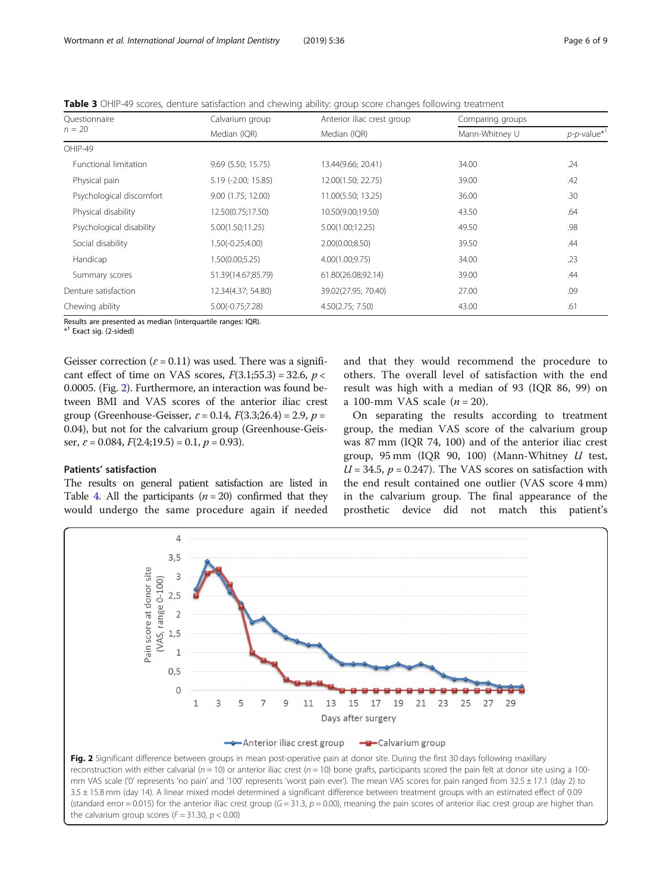<span id="page-5-0"></span>

| Table 3 OHIP-49 scores, denture satisfaction and chewing ability: group score changes following treatment |  |  |  |
|-----------------------------------------------------------------------------------------------------------|--|--|--|
|                                                                                                           |  |  |  |

| Questionnaire                | Calvarium group     | Anterior iliac crest group | Comparing groups |                                   |  |  |
|------------------------------|---------------------|----------------------------|------------------|-----------------------------------|--|--|
| $n = 20$                     | Median (IQR)        | Median (IQR)               | Mann-Whitney U   | $p$ - $p$ -value $*$ <sup>1</sup> |  |  |
| OHIP-49                      |                     |                            |                  |                                   |  |  |
| <b>Functional limitation</b> | 9.69 (5.50; 15.75)  | 13.44(9.66; 20.41)         | 34.00            | .24                               |  |  |
| Physical pain                | 5.19 (-2.00; 15.85) | 12.00(1.50; 22.75)         | 39.00            | .42                               |  |  |
| Psychological discomfort     | 9.00 (1.75; 12.00)  | 11.00(5.50; 13.25)         | 36.00            | .30                               |  |  |
| Physical disability          | 12.50(0.75;17.50)   | 10.50(9.00;19.50)          | 43.50            | .64                               |  |  |
| Psychological disability     | 5.00(1.50;11.25)    | 5.00(1.00;12.25)           | 49.50            | .98                               |  |  |
| Social disability            | $1.50(-0.25;4.00)$  | 2.00(0.00; 8.50)           | 39.50            | .44                               |  |  |
| Handicap                     | 1.50(0.00;5.25)     | 4.00(1.00;9.75)            | 34.00            | .23                               |  |  |
| Summary scores               | 51.39(14.67;85.79)  | 61.80(26.08;92.14)         | 39.00            | .44                               |  |  |
| Denture satisfaction         | 12.34(4.37; 54.80)  | 39.02(27.95; 70.40)        | 27.00            | .09                               |  |  |
| Chewing ability              | $5.00(-0.75;7.28)$  | 4.50(2.75; 7.50)           | 43.00            | .61                               |  |  |

Results are presented as median (interquartile ranges: IQR).

\* <sup>1</sup> Exact sig. (2-sided)

Patients' satisfaction

Geisser correction ( $\varepsilon$  = 0.11) was used. There was a significant effect of time on VAS scores,  $F(3.1;55.3) = 32.6$ ,  $p <$ 0.0005. (Fig. 2). Furthermore, an interaction was found between BMI and VAS scores of the anterior iliac crest group (Greenhouse-Geisser,  $\varepsilon$  = 0.14,  $F(3.3;26.4)$  = 2.9,  $p =$ 0.04), but not for the calvarium group (Greenhouse-Geisser,  $\varepsilon$  = 0.084,  $F(2.4;19.5) = 0.1$ ,  $p = 0.93$ ).

The results on general patient satisfaction are listed in Table [4.](#page-6-0) All the participants  $(n = 20)$  confirmed that they would undergo the same procedure again if needed

## and that they would recommend the procedure to others. The overall level of satisfaction with the end result was high with a median of 93 (IQR 86, 99) on a 100-mm VAS scale  $(n = 20)$ .

On separating the results according to treatment group, the median VAS score of the calvarium group was 87 mm (IQR 74, 100) and of the anterior iliac crest group, 95 mm (IQR 90, 100) (Mann-Whitney  $U$  test,  $U = 34.5$ ,  $p = 0.247$ . The VAS scores on satisfaction with the end result contained one outlier (VAS score 4 mm) in the calvarium group. The final appearance of the prosthetic device did not match this patient's

#### $\overline{4}$  $3,5$ Pain score at donor site  $\overline{3}$ (VAS, range 0-100)  $2,5$  $\overline{2}$  $1,5$  $\overline{1}$  $0,5$  $\circ$  $\mathbf{1}$ 3 5  $\overline{7}$  $\mathsf{Q}$ 13 15 17 19 21 23 25 27 11 29 Days after surgery Anterior iliac crest group - Calvarium group Fig. 2 Significant difference between groups in mean post-operative pain at donor site. During the first 30 days following maxillary

reconstruction with either calvarial ( $n = 10$ ) or anterior iliac crest ( $n = 10$ ) bone grafts, participants scored the pain felt at donor site using a 100mm VAS scale ('0' represents 'no pain' and '100' represents 'worst pain ever'). The mean VAS scores for pain ranged from 32.5 ± 17.1 (day 2) to 3.5 ± 15.8 mm (day 14). A linear mixed model determined a significant difference between treatment groups with an estimated effect of 0.09 (standard error = 0.015) for the anterior iliac crest group  $(G = 31.3, p = 0.00)$ , meaning the pain scores of anterior iliac crest group are higher than the calvarium group scores ( $F = 31.30$ ,  $p < 0.00$ )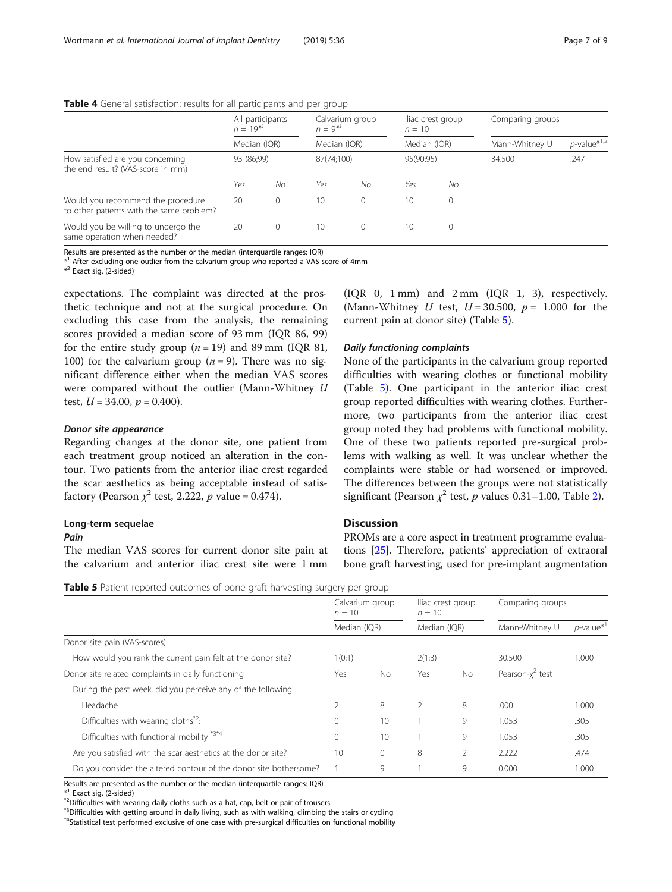#### <span id="page-6-0"></span>Table 4 General satisfaction: results for all participants and per group

|                                                                               | All participants<br>$n = 19^{*}$ |          | Calvarium group<br>$n = 9^{*'}$ |            | lliac crest group<br>$n = 10$ |           | Comparing groups |                            |
|-------------------------------------------------------------------------------|----------------------------------|----------|---------------------------------|------------|-------------------------------|-----------|------------------|----------------------------|
|                                                                               | Median (IQR)                     |          | Median (IQR)                    |            | Median (IQR)                  |           | Mann-Whitney U   | $p$ -value <sup>*1,2</sup> |
| How satisfied are you concerning<br>the end result? (VAS-score in mm)         | 93 (86;99)                       |          |                                 | 87(74;100) |                               | 95(90;95) | 34.500           | .247                       |
|                                                                               | Yes                              | No       | Yes                             | No         | Yes                           | No        |                  |                            |
| Would you recommend the procedure<br>to other patients with the same problem? | 20                               | $\Omega$ | 10                              | $\Omega$   | 10                            | $\Omega$  |                  |                            |
| Would you be willing to undergo the<br>same operation when needed?            | 20                               | 0        | 10                              | $\Omega$   | 10                            |           |                  |                            |

Results are presented as the number or the median (interquartile ranges: IQR)

\* <sup>1</sup> After excluding one outlier from the calvarium group who reported a VAS-score of 4mm

\* <sup>2</sup> Exact sig. (2-sided)

expectations. The complaint was directed at the prosthetic technique and not at the surgical procedure. On excluding this case from the analysis, the remaining scores provided a median score of 93 mm (IQR 86, 99) for the entire study group ( $n = 19$ ) and 89 mm (IOR 81, 100) for the calvarium group ( $n = 9$ ). There was no significant difference either when the median VAS scores were compared without the outlier (Mann-Whitney U test,  $U = 34.00$ ,  $p = 0.400$ ).

#### Donor site appearance

Regarding changes at the donor site, one patient from each treatment group noticed an alteration in the contour. Two patients from the anterior iliac crest regarded the scar aesthetics as being acceptable instead of satisfactory (Pearson  $\chi^2$  test, 2.222, p value = 0.474).

### Long-term sequelae

#### Pain

The median VAS scores for current donor site pain at the calvarium and anterior iliac crest site were 1 mm

(IQR 0, 1 mm) and 2 mm (IQR 1, 3), respectively. (Mann-Whitney U test,  $U = 30.500$ ,  $p = 1.000$  for the current pain at donor site) (Table 5).

#### Daily functioning complaints

None of the participants in the calvarium group reported difficulties with wearing clothes or functional mobility (Table 5). One participant in the anterior iliac crest group reported difficulties with wearing clothes. Furthermore, two participants from the anterior iliac crest group noted they had problems with functional mobility. One of these two patients reported pre-surgical problems with walking as well. It was unclear whether the complaints were stable or had worsened or improved. The differences between the groups were not statistically significant (Pearson  $\chi^2$  $\chi^2$  test, p values 0.31–1.00, Table 2).

## **Discussion**

PROMs are a core aspect in treatment programme evaluations [\[25\]](#page-8-0). Therefore, patients' appreciation of extraoral bone graft harvesting, used for pre-implant augmentation

|  |  | Table 5 Patient reported outcomes of bone graft harvesting surgery per group |
|--|--|------------------------------------------------------------------------------|
|--|--|------------------------------------------------------------------------------|

|                                                                   | Calvarium group<br>$n = 10$<br>Median (IQR) |           | lliac crest group<br>$n = 10$<br>Median (IQR) |           | Comparing groups    |                          |
|-------------------------------------------------------------------|---------------------------------------------|-----------|-----------------------------------------------|-----------|---------------------|--------------------------|
|                                                                   |                                             |           |                                               |           | Mann-Whitney U      | $p$ -value <sup>*1</sup> |
| Donor site pain (VAS-scores)                                      |                                             |           |                                               |           |                     |                          |
| How would you rank the current pain felt at the donor site?       | 1(0;1)                                      |           | 2(1:3)                                        |           | 30.500              | 1.000                    |
| Donor site related complaints in daily functioning                | Yes                                         | <b>No</b> | Yes                                           | <b>No</b> | Pearson- $x^2$ test |                          |
| During the past week, did you perceive any of the following       |                                             |           |                                               |           |                     |                          |
| Headache                                                          |                                             | 8         |                                               | 8         | .000                | 1.000                    |
| Difficulties with wearing cloths <sup>*2</sup> :                  | $\Omega$                                    | 10        |                                               | 9         | 1.053               | .305                     |
| Difficulties with functional mobility *3*4                        | $\Omega$                                    | 10        |                                               | 9         | 1.053               | .305                     |
| Are you satisfied with the scar aesthetics at the donor site?     | 10                                          | $\Omega$  | 8                                             | 2         | 2.222               | .474                     |
| Do you consider the altered contour of the donor site bothersome? |                                             | 9         |                                               | 9         | 0.000               | 1.000                    |

Results are presented as the number or the median (interquartile ranges: IQR)

 $*$ <sup>1</sup> Exact sig. (2-sided)

\*<sup>2</sup>Difficulties with wearing daily cloths such as a hat, cap, belt or pair of trousers

\*<sup>3</sup>Difficulties with getting around in daily living, such as with walking, climbing the stairs or cycling

\*4Statistical test performed exclusive of one case with pre-surgical difficulties on functional mobility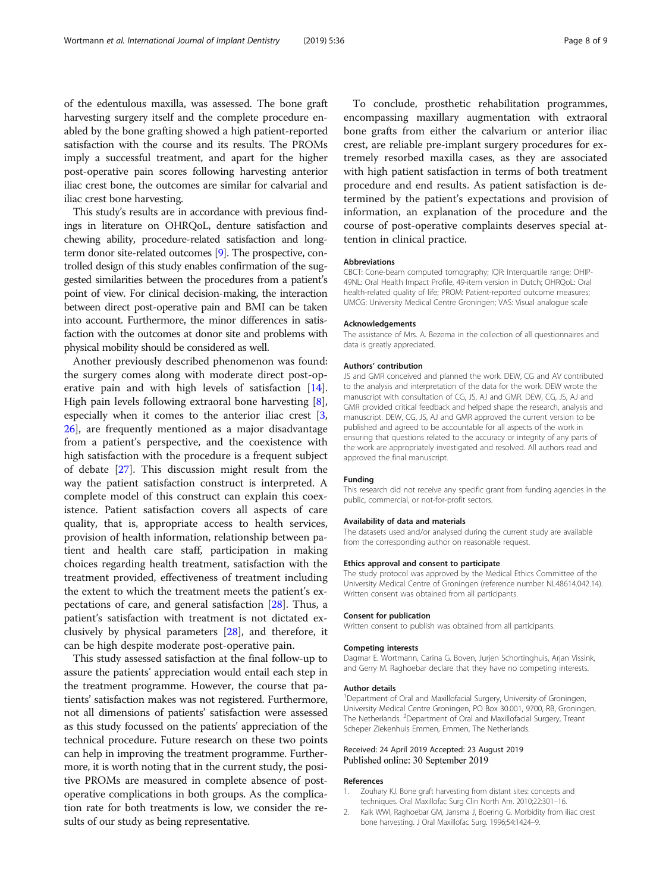<span id="page-7-0"></span>of the edentulous maxilla, was assessed. The bone graft harvesting surgery itself and the complete procedure enabled by the bone grafting showed a high patient-reported satisfaction with the course and its results. The PROMs imply a successful treatment, and apart for the higher post-operative pain scores following harvesting anterior iliac crest bone, the outcomes are similar for calvarial and iliac crest bone harvesting.

This study's results are in accordance with previous findings in literature on OHRQoL, denture satisfaction and chewing ability, procedure-related satisfaction and longterm donor site-related outcomes [\[9\]](#page-8-0). The prospective, controlled design of this study enables confirmation of the suggested similarities between the procedures from a patient's point of view. For clinical decision-making, the interaction between direct post-operative pain and BMI can be taken into account. Furthermore, the minor differences in satisfaction with the outcomes at donor site and problems with physical mobility should be considered as well.

Another previously described phenomenon was found: the surgery comes along with moderate direct post-operative pain and with high levels of satisfaction [\[14](#page-8-0)]. High pain levels following extraoral bone harvesting [\[8](#page-8-0)], especially when it comes to the anterior iliac crest [\[3](#page-8-0), [26\]](#page-8-0), are frequently mentioned as a major disadvantage from a patient's perspective, and the coexistence with high satisfaction with the procedure is a frequent subject of debate [[27\]](#page-8-0). This discussion might result from the way the patient satisfaction construct is interpreted. A complete model of this construct can explain this coexistence. Patient satisfaction covers all aspects of care quality, that is, appropriate access to health services, provision of health information, relationship between patient and health care staff, participation in making choices regarding health treatment, satisfaction with the treatment provided, effectiveness of treatment including the extent to which the treatment meets the patient's expectations of care, and general satisfaction [[28](#page-8-0)]. Thus, a patient's satisfaction with treatment is not dictated exclusively by physical parameters [\[28\]](#page-8-0), and therefore, it can be high despite moderate post-operative pain.

This study assessed satisfaction at the final follow-up to assure the patients' appreciation would entail each step in the treatment programme. However, the course that patients' satisfaction makes was not registered. Furthermore, not all dimensions of patients' satisfaction were assessed as this study focussed on the patients' appreciation of the technical procedure. Future research on these two points can help in improving the treatment programme. Furthermore, it is worth noting that in the current study, the positive PROMs are measured in complete absence of postoperative complications in both groups. As the complication rate for both treatments is low, we consider the results of our study as being representative.

To conclude, prosthetic rehabilitation programmes, encompassing maxillary augmentation with extraoral bone grafts from either the calvarium or anterior iliac crest, are reliable pre-implant surgery procedures for extremely resorbed maxilla cases, as they are associated with high patient satisfaction in terms of both treatment procedure and end results. As patient satisfaction is determined by the patient's expectations and provision of information, an explanation of the procedure and the course of post-operative complaints deserves special attention in clinical practice.

#### **Abbreviations**

CBCT: Cone-beam computed tomography; IQR: Interquartile range; OHIP-49NL: Oral Health Impact Profile, 49-item version in Dutch; OHRQoL: Oral health-related quality of life; PROM: Patient-reported outcome measures; UMCG: University Medical Centre Groningen; VAS: Visual analogue scale

#### Acknowledgements

The assistance of Mrs. A. Bezema in the collection of all questionnaires and data is greatly appreciated.

#### Authors' contribution

JS and GMR conceived and planned the work. DEW, CG and AV contributed to the analysis and interpretation of the data for the work. DEW wrote the manuscript with consultation of CG, JS, AJ and GMR. DEW, CG, JS, AJ and GMR provided critical feedback and helped shape the research, analysis and manuscript. DEW, CG, JS, AJ and GMR approved the current version to be published and agreed to be accountable for all aspects of the work in ensuring that questions related to the accuracy or integrity of any parts of the work are appropriately investigated and resolved. All authors read and approved the final manuscript.

#### Funding

This research did not receive any specific grant from funding agencies in the public, commercial, or not-for-profit sectors.

#### Availability of data and materials

The datasets used and/or analysed during the current study are available from the corresponding author on reasonable request.

#### Ethics approval and consent to participate

The study protocol was approved by the Medical Ethics Committee of the University Medical Centre of Groningen (reference number NL48614.042.14). Written consent was obtained from all participants.

#### Consent for publication

Written consent to publish was obtained from all participants.

#### Competing interests

Dagmar E. Wortmann, Carina G. Boven, Jurjen Schortinghuis, Arjan Vissink, and Gerry M. Raghoebar declare that they have no competing interests.

#### Author details

<sup>1</sup>Department of Oral and Maxillofacial Surgery, University of Groningen, University Medical Centre Groningen, PO Box 30.001, 9700, RB, Groningen, The Netherlands. <sup>2</sup>Department of Oral and Maxillofacial Surgery, Treant Scheper Ziekenhuis Emmen, Emmen, The Netherlands.

#### Received: 24 April 2019 Accepted: 23 August 2019 Published online: 30 September 2019

#### References

- 1. Zouhary KJ. Bone graft harvesting from distant sites: concepts and techniques. Oral Maxillofac Surg Clin North Am. 2010;22:301–16.
- 2. Kalk WWI, Raghoebar GM, Jansma J, Boering G. Morbidity from iliac crest bone harvesting. J Oral Maxillofac Surg. 1996;54:1424–9.